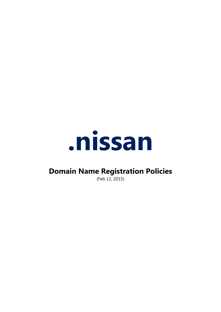

# **Domain Name Registration Policies**

(Feb 12, 2015)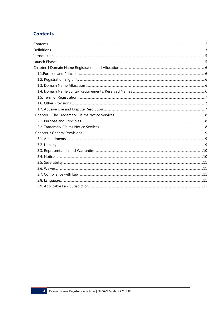# **Contents**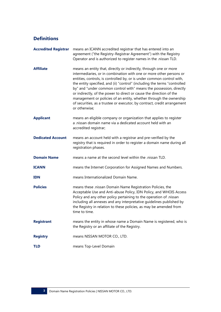# **Definitions**

| <b>Accredited Registrar</b> | means an ICANN accredited registrar that has entered into an<br>agreement ("the Registry-Registrar Agreement") with the Registry<br>Operator and is authorized to register names in the .nissan TLD.                                                                                                                                                                                                                                                                                                                                                                                                            |  |
|-----------------------------|-----------------------------------------------------------------------------------------------------------------------------------------------------------------------------------------------------------------------------------------------------------------------------------------------------------------------------------------------------------------------------------------------------------------------------------------------------------------------------------------------------------------------------------------------------------------------------------------------------------------|--|
| <b>Affiliate</b>            | means an entity that, directly or indirectly, through one or more<br>intermediaries, or in combination with one or more other persons or<br>entities, controls, is controlled by, or is under common control with,<br>the entity specified, and (ii) "control" (including the terms "controlled<br>by" and "under common control with" means the possession, directly<br>or indirectly, of the power to direct or cause the direction of the<br>management or policies of an entity, whether through the ownership<br>of securities, as a trustee or executor, by contract, credit arrangement<br>or otherwise; |  |
| <b>Applicant</b>            | means an eligible company or organization that applies to register<br>a .nissan domain name via a dedicated account held with an<br>accredited registrar;                                                                                                                                                                                                                                                                                                                                                                                                                                                       |  |
| <b>Dedicated Account</b>    | means an account held with a registrar and pre-verified by the<br>registry that is required in order to register a domain name during all<br>registration phases.                                                                                                                                                                                                                                                                                                                                                                                                                                               |  |
| <b>Domain Name</b>          | means a name at the second level within the .nissan TLD.                                                                                                                                                                                                                                                                                                                                                                                                                                                                                                                                                        |  |
| <b>ICANN</b>                | means the Internet Corporation for Assigned Names and Numbers.                                                                                                                                                                                                                                                                                                                                                                                                                                                                                                                                                  |  |
| <b>IDN</b>                  | means Internationalized Domain Name.                                                                                                                                                                                                                                                                                                                                                                                                                                                                                                                                                                            |  |
| <b>Policies</b>             | means these .nissan Domain Name Registration Policies, the<br>Acceptable Use and Anti-abuse Policy, IDN Policy, and WHOIS Access<br>Policy and any other policy pertaining to the operation of .nissan<br>including all annexes and any interpretative guidelines published by<br>the Registry in relation to these policies, as may be amended from<br>time to time.                                                                                                                                                                                                                                           |  |
| <b>Registrant</b>           | means the entity in whose name a Domain Name is registered, who is<br>the Registry or an affiliate of the Registry.                                                                                                                                                                                                                                                                                                                                                                                                                                                                                             |  |
| <b>Registry</b>             | means NISSAN MOTOR CO., LTD.                                                                                                                                                                                                                                                                                                                                                                                                                                                                                                                                                                                    |  |
| <b>TLD</b>                  | means Top-Level Domain                                                                                                                                                                                                                                                                                                                                                                                                                                                                                                                                                                                          |  |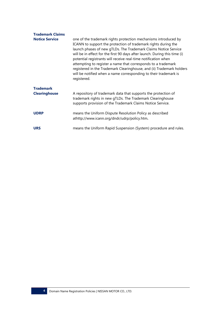| <b>Trademark Claims</b><br><b>Notice Service</b> | one of the trademark rights protection mechanisms introduced by<br>ICANN to support the protection of trademark rights during the<br>launch phases of new gTLDs. The Trademark Claims Notice Service<br>will be in effect for the first 90 days after launch. During this time (i)<br>potential registrants will receive real-time notification when<br>attempting to register a name that corresponds to a trademark<br>registered in the Trademark Clearinghouse, and (ii) Trademark holders<br>will be notified when a name corresponding to their trademark is<br>registered. |
|--------------------------------------------------|-----------------------------------------------------------------------------------------------------------------------------------------------------------------------------------------------------------------------------------------------------------------------------------------------------------------------------------------------------------------------------------------------------------------------------------------------------------------------------------------------------------------------------------------------------------------------------------|
| <b>Trademark</b><br><b>Clearinghouse</b>         | A repository of trademark data that supports the protection of<br>trademark rights in new gTLDs. The Trademark Clearinghouse<br>supports provision of the Trademark Claims Notice Service.                                                                                                                                                                                                                                                                                                                                                                                        |
| <b>UDRP</b>                                      | means the Uniform Dispute Resolution Policy as described<br>athttp://www.icann.org/dndr/udrp/policy.htm.                                                                                                                                                                                                                                                                                                                                                                                                                                                                          |
| <b>URS</b>                                       | means the Uniform Rapid Suspension (System) procedure and rules.                                                                                                                                                                                                                                                                                                                                                                                                                                                                                                                  |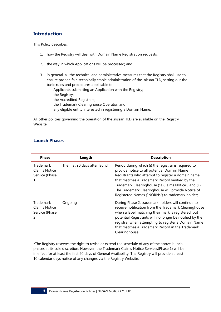# **Introduction**

This Policy describes:

- 1. how the Registry will deal with Domain Name Registration requests;
- 2. the way in which Applications will be processed; and
- 3. in general, all the technical and administrative measures that the Registry shall use to ensure proper, fair, technically stable administration of the .nissan TLD, setting out the basic rules and procedures applicable to:
	- Applicants submitting an Application with the Registry;
	- $-$  the Registry;
	- the Accredited Registrars;
	- the Trademark Clearinghouse Operator; and
	- any eligible entity interested in registering a Domain Name.

All other policies governing the operation of the .nissan TLD are available on the Registry Website.

| <b>Phase</b>                                              | Length                         | <b>Description</b>                                                                                                                                                                                                                                                                                                                                                            |
|-----------------------------------------------------------|--------------------------------|-------------------------------------------------------------------------------------------------------------------------------------------------------------------------------------------------------------------------------------------------------------------------------------------------------------------------------------------------------------------------------|
| Trademark<br>Claims Notice<br>Service (Phase<br>1)        | The first 90 days after launch | Period during which (i) the registrar is required to<br>provide notice to all potential Domain Name<br>Registrants who attempt to register a domain name<br>that matches a Trademark Record verified by the<br>Trademark Clearinghouse ("a Claims Notice") and (ii)<br>The Trademark Clearinghouse will provide Notice of<br>Registered Names ("NORNs") to trademark holder;. |
| Trademark<br><b>Claims Notice</b><br>Service (Phase<br>2) | Ongoing                        | During Phase 2, trademark holders will continue to<br>receive notification from the Trademark Clearinghouse<br>when a label matching their mark is registered, but<br>potential Registrants will no longer be notified by the<br>registrar when attempting to register a Domain Name<br>that matches a Trademark Record in the Trademark<br>Clearinghouse.                    |

# **Launch Phases**

\*The Registry reserves the right to revise or extend the schedule of any of the above launch phases at its sole discretion. However, the Trademark Claims Notice Services(Phase 1) will be in effect for at least the first 90 days of General Availability. The Registry will provide at least 10 calendar days notice of any changes via the Registry Website.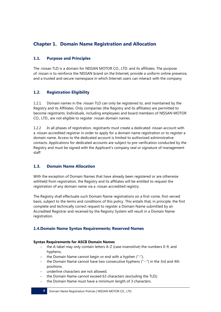# **Chapter 1. Domain Name Registration and Allocation**

# **1.1. Purpose and Principles**

The .nissan TLD is a domain for NISSAN MOTOR CO., LTD. and its affiliates. The purpose of .nissan is to reinforce the NISSAN brand on the Internet, provide a uniform online presence, and a trusted and secure namespace in which Internet users can interact with the company

# **1.2. Registration Eligibility**

1.2.1. Domain names in the .nissan TLD can only be registered to, and maintained by the Registry and its Affiliates. Only companies (the Registry and its affiliates) are permitted to become registrants. Individuals, including employees and board members of NISSAN MOTOR CO., LTD., are not eligible to register .nissan domain names.

1.2.2 In all phases of registration, registrants must create a dedicated .nissan account with a .nissan accredited registrar in order to apply for a domain name registration or to register a domain name. Access to the dedicated account is limited to authorized administrative contacts. Applications for dedicated accounts are subject to pre-verification conducted by the Registry and must be signed with the Applicant's company seal or signature of management staff

# **1.3. Domain Name Allocation**

With the exception of Domain Names that have already been registered or are otherwise withheld from registration, the Registry and its affiliates will be entitled to request the registration of any domain name via a .nissan accredited registry.

The Registry shall effectuate such Domain Name registrations on a first-come, first-served basis, subject to the terms and conditions of this policy. This entails that, in principle, the first complete and technically correct request to register a Domain Name submitted by an Accredited Registrar and received by the Registry System will result in a Domain Name registration.

# **1.4.Domain Name Syntax Requirements; Reserved Names**

## **Syntax Requirements for ASCII Domain Names**

- the A-label may only contain letters A-Z (case insensitive) the numbers 0-9, and hyphens;
- the Domain Name cannot begin or end with a hyphen  $("-")$ ;
- the Domain Name cannot have two consecutive hyphens ("--") in the 3rd and 4th positions;
- underline characters are not allowed;
- the Domain Name cannot exceed 63 characters (excluding the TLD);
- the Domain Name must have a minimum length of 3 characters.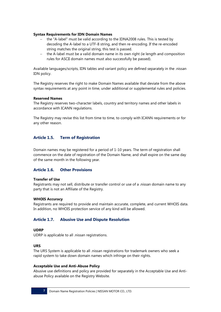#### **Syntax Requirements for IDN Domain Names**

- the "A-label" must be valid according to the IDNA2008 rules. This is tested by decoding the A-label to a UTF-8 string, and then re-encoding. If the re-encoded string matches the original string, this test is passed.
- the A-label must be a valid domain name in its own right (ie length and composition rules for ASCII domain names must also successfully be passed).

Available languages/scripts, IDN tables and variant policy are defined separately in the .nissan IDN policy.

The Registry reserves the right to make Domain Names available that deviate from the above syntax requirements at any point in time, under additional or supplemental rules and policies.

#### **Reserved Names**

The Registry reserves two-character labels, country and territory names and other labels in accordance with ICANN regulations.

The Registry may revise this list from time to time, to comply with ICANN requirements or for any other reason.

# **Article 1.5. Term of Registration**

Domain names may be registered for a period of 1-10 years. The term of registration shall commence on the date of registration of the Domain Name, and shall expire on the same day of the same month in the following year.

#### **Article 1.6. Other Provisions**

#### **Transfer of Use**

Registrants may not sell, distribute or transfer control or use of a .nissan domain name to any party that is not an Affiliate of the Registry.

#### **WHOIS Accuracy**

Registrants are required to provide and maintain accurate, complete, and current WHOIS data. In addition, no WHOIS protection service of any kind will be allowed.

#### **Article 1.7. Abusive Use and Dispute Resolution**

#### **UDRP**

UDRP is applicable to all .nissan registrations.

#### **URS**

The URS System is applicable to all .nissan registrations for trademark owners who seek a rapid system to take down domain names which infringe on their rights.

#### **Acceptable Use and Anti-Abuse Policy**

Abusive use definitions and policy are provided for separately in the Acceptable Use and Antiabuse Policy available on the Registry Website.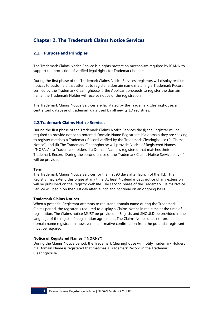# **Chapter 2. The Trademark Claims Notice Services**

# **2.1. Purpose and Principles**

The Trademark Claims Notice Service is a rights protection mechanism required by ICANN to support the protection of verified legal rights for Trademark holders.

During the first phase of the Trademark Claims Notice Services, registrars will display real-time notices to customers that attempt to register a domain name matching a Trademark Record verified by the Trademark Clearinghouse. If the Applicant proceeds to register the domain name, the Trademark Holder will receive notice of the registration.

The Trademark Claims Notice Services are facilitated by the Trademark Clearinghouse, a centralized database of trademark data used by all new gTLD registries.

## **2.2.Trademark Claims Notice Services**

During the first phase of the Trademark Claims Notice Services the (i) the Registrar will be required to provide notice to potential Domain Name Registrants if a domain they are seeking to register matches a Trademark Record verified by the Trademark Clearinghouse ("a Claims Notice") and (ii) The Trademark Clearinghouse will provide Notice of Registered Names ("NORNs") to Trademark holders if a Domain Name is registered that matches their Trademark Record. During the second phase of the Trademark Claims Notice Service only (ii) will be provided.

## **Term**

The Trademark Claims Notice Services for the first 90 days after launch of the TLD. The Registry may extend this phase at any time. At least 4 calendar days notice of any extension will be published on the Registry Website. The second phase of the Trademark Claims Notice Service will begin on the 91st day after launch and continue on an ongoing basis.

#### **Trademark Claims Notices**

When a potential Registrant attempts to register a domain name during the Trademark Claims period, the registrar is required to display a Claims Notice in real time at the time of registration. The Claims notice MUST be provided in English, and SHOULD be provided in the language of the registrar's registration agreement. The Claims Notice does not prohibit a domain name registration; however an affirmative confirmation from the potential registrant must be required.

## **Notice of Registered Names ("NORNs")**

During the Claims Notice period, the Trademark Clearinghouse will notify Trademark Holders if a Domain Name is registered that matches a Trademark Record in the Trademark Clearinghouse.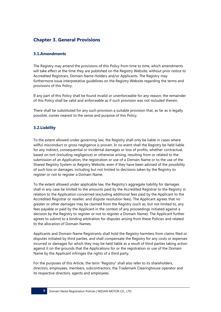# **Chapter 3. General Provisions**

# **3.1.Amendments**

The Registry may amend the provisions of this Policy from time to time, which amendments will take effect at the time they are published on the Registry Website, without prior notice to Accredited Registrars, Domain Name Holders and/or Applicants. The Registry may furthermore issue interpretative guidelines on the Registry Website regarding the terms and provisions of this Policy.

If any part of this Policy shall be found invalid or unenforceable for any reason, the remainder of this Policy shall be valid and enforceable as if such provision was not included therein.

There shall be substituted for any such provision a suitable provision that, as far as is legally possible, comes nearest to the sense and purpose of this Policy.

# **3.2.Liability**

To the extent allowed under governing law, the Registry shall only be liable in cases where willful misconduct or gross negligence is proven. In no event shall the Registry be held liable for any indirect, consequential or incidental damages or loss of profits, whether contractual, based on tort (including negligence) or otherwise arising, resulting from or related to the submission of an Application, the registration or use of a Domain Name or to the use of the Shared Registry System or Registry Website, even if they have been advised of the possibility of such loss or damages, including but not limited to decisions taken by the Registry to register or not to register a Domain Name.

To the extent allowed under applicable law, the Registry's aggregate liability for damages shall in any case be limited to the amounts paid by the Accredited Registrar to the Registry in relation to the Application concerned (excluding additional fees paid by the Applicant to the Accredited Registrar or reseller, and dispute resolution fees). The Applicant agrees that no greater or other damages may be claimed from the Registry (such as, but not limited to, any fees payable or paid by the Applicant in the context of any proceedings initiated against a decision by the Registry to register or not to register a Domain Name). The Applicant further agrees to submit to a binding arbitration for disputes arising from these Policies and related to the allocation of Domain Names.

Applicants and Domain Name Registrants shall hold the Registry harmless from claims filed or disputes initiated by third parties, and shall compensate the Registry for any costs or expenses incurred or damages for which they may be held liable as a result of third parties taking action against it on the grounds that the Applications for or the registration or use of the Domain Name by the Applicant infringes the rights of a third party.

For the purposes of this Article, the term "Registry" shall also refer to its shareholders, directors, employees, members, subcontractors, the Trademark Clearinghouse operator and its respective directors, agents and employees.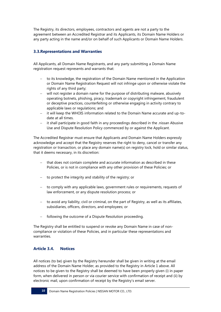The Registry, its directors, employees, contractors and agents are not a party to the agreement between an Accredited Registrar and its Applicants, its Domain Name Holders or any party acting in the name and/or on behalf of such Applicants or Domain Name Holders.

# **3.3.Representations and Warranties**

All Applicants, all Domain Name Registrants, and any party submitting a Domain Name registration request represents and warrants that:

- to its knowledge, the registration of the Domain Name mentioned in the Application or Domain Name Registration Request will not infringe upon or otherwise violate the rights of any third party;
- will not register a domain name for the purpose of distributing malware, abusively operating botnets, phishing, piracy, trademark or copyright infringement, fraudulent or deceptive practices, counterfeiting or otherwise engaging in activity contrary to applicable laws or regulations; and
- it will keep the WHOIS information related to the Domain Name accurate and up-todate at all times.
- it shall participate in good faith in any proceedings described in the .nissan Abusive Use and Dispute Resolution Policy commenced by or against the Applicant.

The Accredited Registrar must ensure that Applicants and Domain Name Holders expressly acknowledge and accept that the Registry reserves the right to deny, cancel or transfer any registration or transaction, or place any domain name(s) on registry lock, hold or similar status, that it deems necessary, in its discretion:

- that does not contain complete and accurate information as described in these Policies, or is not in compliance with any other provision of these Policies; or
- $-$  to protect the integrity and stability of the registry; or
- to comply with any applicable laws, government rules or requirements, requests of law enforcement, or any dispute resolution process; or
- to avoid any liability, civil or criminal, on the part of Registry, as well as its affiliates, subsidiaries, officers, directors, and employees; or
- following the outcome of a Dispute Resolution proceeding.

The Registry shall be entitled to suspend or revoke any Domain Name in case of noncompliance or violation of these Policies, and in particular these representations and warranties.

## **Article 3.4. Notices**

All notices (to be) given by the Registry hereunder shall be given in writing at the email address of the Domain Name Holder, as provided to the Registry in Article 1 above. All notices to be given to the Registry shall be deemed to have been properly given (i) in paper form, when delivered in person or via courier service with confirmation of receipt and (ii) by electronic mail, upon confirmation of receipt by the Registry's email server.